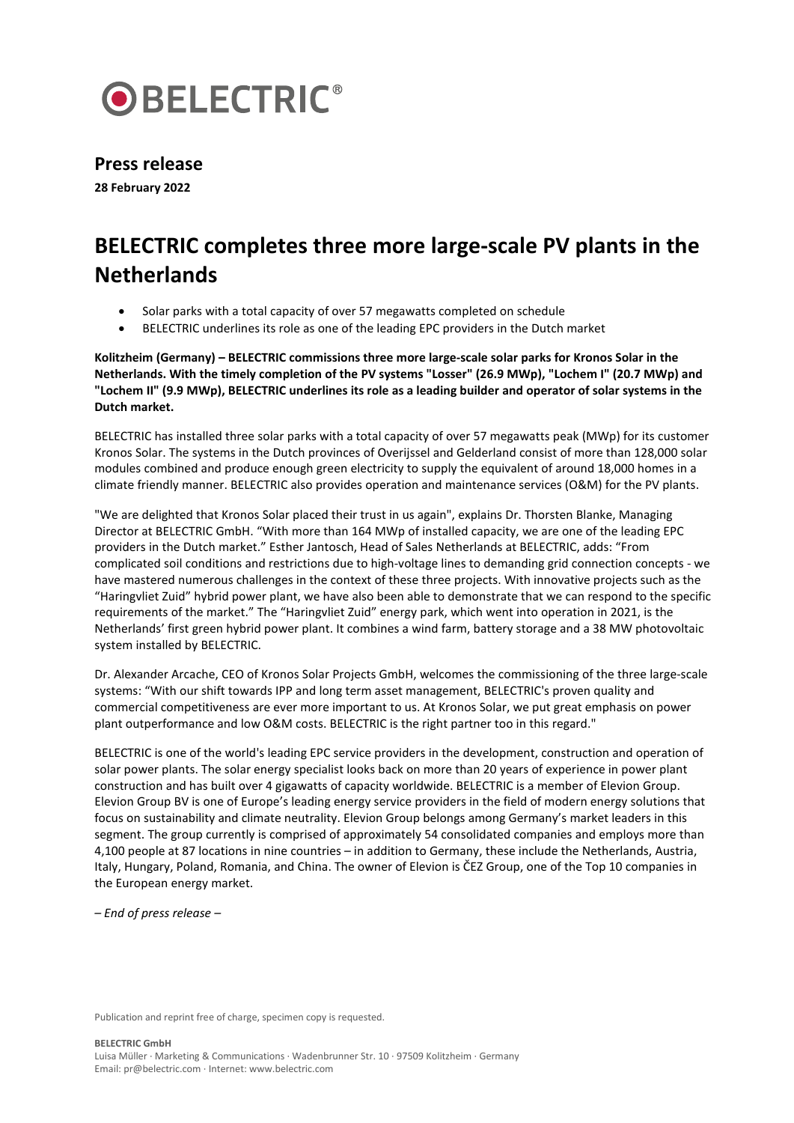

## **Press release**

**28 February 2022**

## **BELECTRIC completes three more large-scale PV plants in the Netherlands**

- Solar parks with a total capacity of over 57 megawatts completed on schedule
- BELECTRIC underlines its role as one of the leading EPC providers in the Dutch market

**Kolitzheim (Germany) – BELECTRIC commissions three more large-scale solar parks for Kronos Solar in the Netherlands. With the timely completion of the PV systems "Losser" (26.9 MWp), "Lochem I" (20.7 MWp) and "Lochem II" (9.9 MWp), BELECTRIC underlines its role as a leading builder and operator of solar systems in the Dutch market.**

BELECTRIC has installed three solar parks with a total capacity of over 57 megawatts peak (MWp) for its customer Kronos Solar. The systems in the Dutch provinces of Overijssel and Gelderland consist of more than 128,000 solar modules combined and produce enough green electricity to supply the equivalent of around 18,000 homes in a climate friendly manner. BELECTRIC also provides operation and maintenance services (O&M) for the PV plants.

"We are delighted that Kronos Solar placed their trust in us again", explains Dr. Thorsten Blanke, Managing Director at BELECTRIC GmbH. "With more than 164 MWp of installed capacity, we are one of the leading EPC providers in the Dutch market." Esther Jantosch, Head of Sales Netherlands at BELECTRIC, adds: "From complicated soil conditions and restrictions due to high-voltage lines to demanding grid connection concepts - we have mastered numerous challenges in the context of these three projects. With innovative projects such as the "Haringvliet Zuid" hybrid power plant, we have also been able to demonstrate that we can respond to the specific requirements of the market." The "Haringvliet Zuid" energy park, which went into operation in 2021, is the Netherlands' first green hybrid power plant. It combines a wind farm, battery storage and a 38 MW photovoltaic system installed by BELECTRIC.

Dr. Alexander Arcache, CEO of Kronos Solar Projects GmbH, welcomes the commissioning of the three large-scale systems: "With our shift towards IPP and long term asset management, BELECTRIC's proven quality and commercial competitiveness are ever more important to us. At Kronos Solar, we put great emphasis on power plant outperformance and low O&M costs. BELECTRIC is the right partner too in this regard."

BELECTRIC is one of the world's leading EPC service providers in the development, construction and operation of solar power plants. The solar energy specialist looks back on more than 20 years of experience in power plant construction and has built over 4 gigawatts of capacity worldwide. BELECTRIC is a member of Elevion Group. Elevion Group BV is one of Europe's leading energy service providers in the field of modern energy solutions that focus on sustainability and climate neutrality. Elevion Group belongs among Germany's market leaders in this segment. The group currently is comprised of approximately 54 consolidated companies and employs more than 4,100 people at 87 locations in nine countries – in addition to Germany, these include the Netherlands, Austria, Italy, Hungary, Poland, Romania, and China. The owner of Elevion is ČEZ Group, one of the Top 10 companies in the European energy market.

*– End of press release –*

Publication and reprint free of charge, specimen copy is requested.